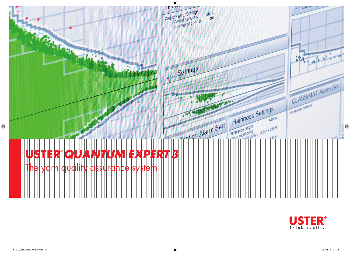

## **U***QUANTUM EXPERT3*

The yarn quality assurance system

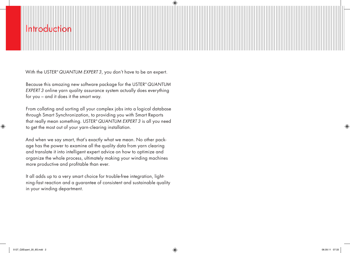### roductio

With the USTER® *QUANTUM EXPERT 3*, you don't have to be an expert.

Because this amazing new software package for the USTER® *QUANTUM EXPERT 3* online yarn quality assurance system actually does everything for you – and it does it the smart way.

From collating and sorting all your complex jobs into a logical database through Smart Synchronization, to providing you with Smart Reports that really mean something. USTER® *QUANTUM EXPERT 3* is all you need to get the most out of your yarn-clearing installation.

And when we say smart, that's exactly what we mean. No other package has the power to examine all the quality data from yarn clearing and translate it into intelligent expert advice on how to optimize and organize the whole process, ultimately making your winding machines more productive and profitable than ever.

It all adds up to a very smart choice for trouble-free integration, lightning-fast reaction and a guarantee of consistent and sustainable quality in your winding department.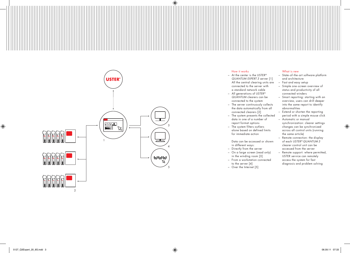

#### How it works

- $-$  At the center is the USTER $^{\circ}$ *QUANTUM EXPERT 3* server [ 1 ] All the central clearing units are connected to the server with a standard network cable
- All generations of USTER ® *QUANTUM* clearers can be connected to the system
- The server continuously collects the data automatically from all connected clearers [ 2 ]
- The system presents the collected data in one of a number of report format options – The system filters outliers
- alone based on defined limits for immediate action

Data can be accessed or shown in different ways:

- Directly from the server
- On a large screen (read only) in the winding room [ 3 ] – From a workstation connected
- to the server [ 4 ] – Over the Internet [ 5 ]

#### What is new

- State-ot-the-art sottware plattorm and architecture
- Fast and easy setup
- Simple one screen overview of status and productivity of all connected winders
- Smart reporting: starting with an overview, users can drill deeper into the same report to identify abnormalities
- Extend or shorten the reporting period with a simple mouse click
- Automatic or manual synchronization: clearer settings changes can be synchronized across all control units (running the same article)
- Remote connection: the display of each USTER ® *QUANTUM 3* clearer control unit can be accessed from the server
- Remote support: where permitted, USTER service can remotely access the system for fast diagnosis and problem solving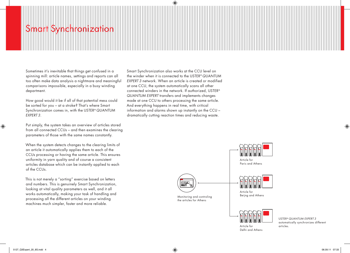## Smart Synchronization

Sometimes it's inevitable that things get confused in a spinning mill: article names, settings and reports can all too often make data analysis a nightmare and meaningful comparisons impossible, especially in a busy winding department.

How good would it be if all of that potential mess could be sorted for you – at a stroke? That's where Smart Synchronization comes in, with the USTER® *QUANTUM EXPERT 3*.

Put simply, the system takes an overview of articles stored from all connected CCUs – and then examines the clearing parameters of those with the same names constantly.

When the system detects changes to the clearing limits of an article it automatically applies them to each of the CCUs processing or having the same article. This ensures uniformity in yarn quality and of course a consistent articles database which can be instantly applied to each of the CCUs.

This is not merely a "sorting" exercise based on letters and numbers. This is genuinely Smart Synchronization, looking at vital quality parameters as well, and it all works automatically, making your task of handling and processing all the different articles on your winding machines much simpler, faster and more reliable.

Smart Synchronization also works at the CCU level on the winder when it is connected to the USTER® *QUANTUM EXPERT 3* network. When an article is created or modified at one CCU, the system automatically scans all other connected winders in the network. If authorized, USTER® *QUANTUM EXPERT* transfers and implements changes made at one CCU to others processing the same article. And everything happens in real time, with critical information and alarms shown up instantly on the CCU – dramatically cutting reaction times and reducing waste.



USTER® *QUANTUM EXPERT 3* automatically synchronizes different articles.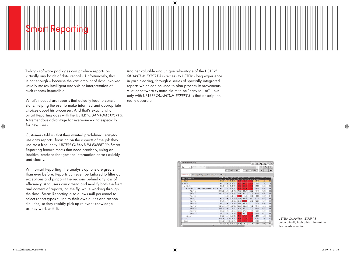## Smart Reporti

Today's software packages can produce reports on virtually any batch of data records. Unfortunately, that is not enough – because the vast amount of data involved usually makes intelligent analysis or interpretation of such reports impossible.

What's needed are reports that actually lead to conclusions, helping the user to make informed and appropriate choices about his processes. And that's exactly what Smart Reporting does with the USTER® *QUANTUM EXPERT 3*. A tremendous advantage for everyone – and especially for new users.

Customers told us that they wanted predefined, easy-touse data reports, focusing on the aspects of the job they use most frequently. USTER® *QUANTUM EXPERT 3*'s Smart Reporting feature meets that need precisely, using an intuitive interface that gets the information across quickly and clearly.

With Smart Reporting, the analysis options are greater than ever before. Reports can even be tailored to filter out exceptions and pinpoint the reasons behind any loss of efficiency. And users can amend and modify both the form and content of reports, on the fly, while working through the data. Smart Reporting also allows mill personnel to select report types suited to their own duties and responsibilities, so they rapidly pick up relevant knowledge as they work with it.

Another valuable and unique advantage of the USTER® *QUANTUM EXPERT 3* is access to USTER's long experience in yarn clearing, through a series of specially integrated reports which can be used to plan process improvements. A lot of software systems claim to be "easy to use" – but only with USTER® *QUANTUM EXPERT 3* is that description really accurate.

|                                                   |                                   |             |                       |                   |       |            |                                                                                           |        |                           | ey B       |
|---------------------------------------------------|-----------------------------------|-------------|-----------------------|-------------------|-------|------------|-------------------------------------------------------------------------------------------|--------|---------------------------|------------|
| Day<br>۰.<br>$ _{\sigma^2}$                       |                                   |             |                       |                   |       |            |                                                                                           |        | Θ<br>×                    | $^{\circ}$ |
|                                                   |                                   |             | 03/06/2011 12:00 AM * |                   |       |            | 03/29/2011 12:00 AM *                                                                     |        |                           | ы          |
| Production x<br>Cuts x<br>Quality x 1<br>Alarms x | Special Cuts x                    |             |                       |                   |       |            |                                                                                           |        |                           |            |
| 36/2011 3/29/2011                                 | Speed                             | <b>Prod</b> | Length PEF AEF        |                   |       | <b>INT</b> | <b>Yzt</b><br>port 100 km <sup>2</sup> per 100 km <sup>2</sup> per 100 km <sup>2</sup> ft | YJ.    | Run Time, Stop Times<br>м |            |
| U(22.18)                                          | 903.16                            | 0.86        | 69.00 21.68           |                   | 21.65 | 83.19      | 31.75                                                                                     | 101.44 | 1.12                      | 36         |
| $-1003.18$                                        | 989.52                            | 0.98        |                       | 8300 67.44        | 67.19 | 191.62     | 45.73                                                                                     | 232.56 | 1.40.                     | 1.0        |
| $4 \cdot 1003.181$                                | 981.03                            | 0.49        |                       | 41.40 57.85       | 67.66 | 212.56     | 43.46                                                                                     | 246.38 | 0.70                      | 0.51       |
| 4 50s C15 CLN / VSNR074UFW / 84.7 Nm (Q3-C-F-P)   | 981.03                            | 0.49        |                       | 41.40 57.85 63.66 |       | 212.56     | 43.48                                                                                     | 246.38 | 0.70                      | 0.51       |
| UQ3.18:1:1                                        | 1,103.89                          | 0.07        |                       | 6.20 77.12 76.69  |       | 145.16     | 32.26                                                                                     | 177.41 | 0.09                      | 0.0        |
| UQ3.18.1.2                                        | 1,078.29                          | 0.07        | 6.20                  | 78.41 78.41       |       | 177.41     | 32.26                                                                                     | 209.67 | 0.10                      | 0.01       |
| UO3 18 13                                         |                                   | 0.00        | 0.00                  | 0.00              | 0.00  | 0.00       | 0.00                                                                                      | 0.00   | 0.00                      | 011        |
| UQ3.18:1:4                                        | 940.44                            | 0.06        |                       | 5.00 73.00 72.50  |       | 180.00     | 40.00                                                                                     | 200.00 | 0.09                      | 0.08       |
| UQ3 18 1-5                                        | 845.87                            | 0.04        |                       | 3 20 5 2 06 51 59 |       | 624.96     | 62.50                                                                                     | 593.71 | 0.06                      | 0.0        |
| UQ31816                                           | 883.72                            | 0.06        |                       | 520 8078 8023     |       | 134.64     | 57.70                                                                                     | 192.34 | 0.10                      | 0.0        |
| UQ3.18-1-7                                        | 1,019.21                          | 0.07        |                       | 6.20 82.95 82.95  |       | 129.03     | 45.39                                                                                     | 177.41 | 0.10                      | 00         |
| DQ3 18 1 8                                        | 1.050 84                          | 0.04        |                       | 320 4142 4114     |       | 281.23     | 31.25                                                                                     | 281.23 | 0.05                      | 0.0        |
| UQ3 18 1.9                                        | 989.65                            | 0.06        |                       | 480 6659 66.14    |       | 270.84     | 41.67                                                                                     | 312.51 | 0.08                      | 00         |
| UQ3.18:1:10                                       | 736.53                            | 0.02        | 1.40                  | 26.15             | 25.91 | 142.92     | 71.45                                                                                     | 285.83 | 0.03                      | 0.0        |
| $b$ UQ3.18:2                                      | 998.00                            | 0.49        |                       | 41.68 67.04       | 56.84 | 170.67     | 45.06                                                                                     | 218.75 | 0.69                      | 0.68       |
| $>$ YC15                                          | 1.264.46                          | 3.32        | 224 64 44 49 44 47    |                   |       | 64.30      | 18.63                                                                                     | 86.46  | 2.96                      | 0.51       |
| UQ3.15<br>s.                                      | 1,108.72                          |             | 1.64 111.20 73.58     |                   | 73.35 | 56.20      | 34.05                                                                                     | 131.93 | 1.67                      | 0.6        |
|                                                   | 1 059 83 10.16 784.24 52.19 52.07 |             |                       |                   |       | 95.83      | 33.19                                                                                     | 127.49 | 12.05                     | 69.        |

USTER® *QUANTUM EXPERT 3* automatically highlights information that needs attention.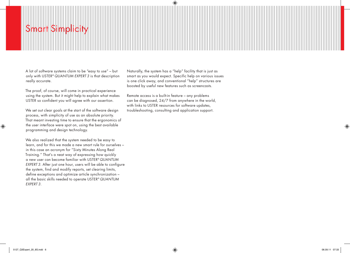## Simp

A lot of software systems claim to be "easy to use" – but only with USTER® *QUANTUM EXPERT 3* is that description really accurate.

The proof, of course, will come in practical experience using the system. But it might help to explain what makes USTER so confident you will agree with our assertion.

We set out clear goals at the start of the software design process, with simplicity of use as an absolute priority. That meant investing time to ensure that the ergonomics of the user interface were spot on, using the best available programming and design technology.

We also realized that the system needed to be easy to learn, and for this we made a new smart rule for ourselves – in this case an acronym for "Sixty Minutes Along Real Training." That's a neat way of expressing how quickly a new user can become familiar with USTER® *QUANTUM EXPERT 3*. After just one hour, users will be able to configure the system, find and modify reports, set clearing limits, define exceptions and optimize article synchronization – all the basic skills needed to operate USTER® *QUANTUM EXPERT 3*.

Naturally, the system has a "help" facility that is just as smart as you would expect. Specific help on various issues is one click away, and conventional "help" structures are boosted by useful new features such as screencasts.

Remote access is a built-in feature – any problems can be diagnosed, 24/7 from anywhere in the world, with links to USTER resources for software updates, troubleshooting, consulting and application support.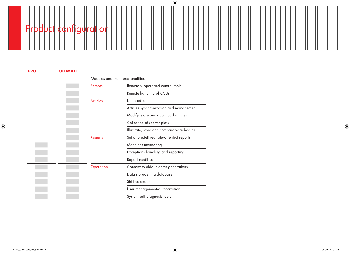# Product configuration

| <b>PRO</b> | <b>ULTIMATE</b> |                                   |                                                          |  |  |  |  |  |
|------------|-----------------|-----------------------------------|----------------------------------------------------------|--|--|--|--|--|
|            |                 | Modules and their functionalities |                                                          |  |  |  |  |  |
|            |                 | Remote                            | Remote support and control tools                         |  |  |  |  |  |
|            |                 |                                   | Remote handling of CCUs                                  |  |  |  |  |  |
|            |                 | <b>Articles</b>                   | Limits editor<br>Articles synchronization and management |  |  |  |  |  |
|            |                 |                                   |                                                          |  |  |  |  |  |
|            |                 |                                   | Modify, store and download articles                      |  |  |  |  |  |
|            |                 |                                   | Collection of scatter plots                              |  |  |  |  |  |
|            |                 |                                   | Illustrate, store and compare yarn bodies                |  |  |  |  |  |
|            |                 | Reports                           | Set of predefined role-oriented reports                  |  |  |  |  |  |
|            |                 |                                   | Machines monitoring                                      |  |  |  |  |  |
|            |                 |                                   | Exceptions handling and reporting                        |  |  |  |  |  |
|            |                 |                                   | Report modification                                      |  |  |  |  |  |
|            |                 | Operation                         | Connect to older clearer generations                     |  |  |  |  |  |
|            |                 | Data storage in a database        |                                                          |  |  |  |  |  |
|            |                 |                                   | Shift calendar                                           |  |  |  |  |  |
|            |                 |                                   | User management-authorization                            |  |  |  |  |  |
|            |                 |                                   | System self-diagnosis tools                              |  |  |  |  |  |